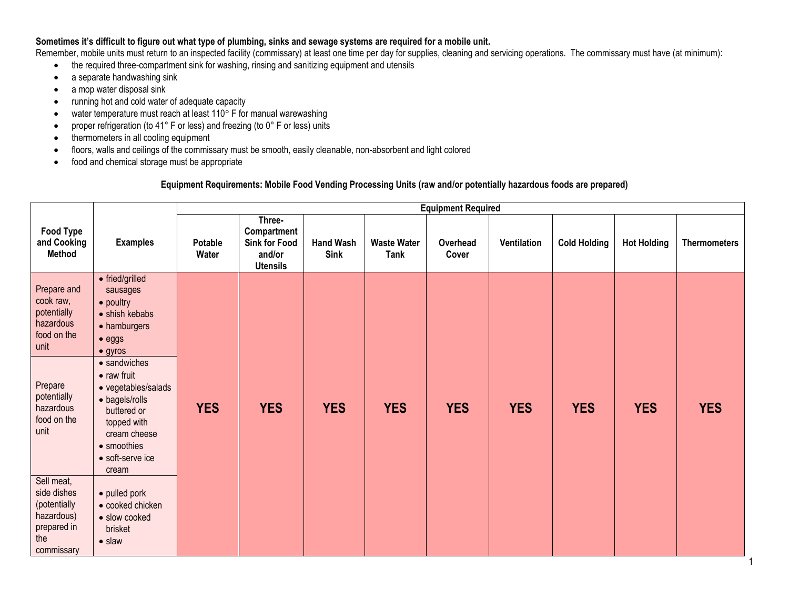## **Sometimes it's difficult to figure out what type of plumbing, sinks and sewage systems are required for a mobile unit.**

Remember, mobile units must return to an inspected facility (commissary) at least one time per day for supplies, cleaning and servicing operations. The commissary must have (at minimum):

- the required three-compartment sink for washing, rinsing and sanitizing equipment and utensils
- a separate handwashing sink
- a mop water disposal sink
- running hot and cold water of adequate capacity
- $\bullet$  water temperature must reach at least 110 $^{\circ}$  F for manual warewashing
- proper refrigeration (to 41° F or less) and freezing (to 0° F or less) units
- thermometers in all cooling equipment
- floors, walls and ceilings of the commissary must be smooth, easily cleanable, non-absorbent and light colored
- food and chemical storage must be appropriate

## **Equipment Requirements: Mobile Food Vending Processing Units (raw and/or potentially hazardous foods are prepared)**

|                                                                                             |                                                                                                                                                        | <b>Equipment Required</b> |                                                                            |                                 |                                   |                   |             |                     |                    |                     |
|---------------------------------------------------------------------------------------------|--------------------------------------------------------------------------------------------------------------------------------------------------------|---------------------------|----------------------------------------------------------------------------|---------------------------------|-----------------------------------|-------------------|-------------|---------------------|--------------------|---------------------|
| <b>Food Type</b><br>and Cooking<br><b>Method</b>                                            | <b>Examples</b>                                                                                                                                        | Potable<br>Water          | Three-<br>Compartment<br><b>Sink for Food</b><br>and/or<br><b>Utensils</b> | <b>Hand Wash</b><br><b>Sink</b> | <b>Waste Water</b><br><b>Tank</b> | Overhead<br>Cover | Ventilation | <b>Cold Holding</b> | <b>Hot Holding</b> | <b>Thermometers</b> |
| Prepare and<br>cook raw,<br>potentially<br>hazardous<br>food on the<br>unit                 | • fried/grilled<br>sausages<br>• poultry<br>• shish kebabs<br>• hamburgers<br>$\bullet$ eggs<br>$\bullet$ gyros<br>• sandwiches                        |                           |                                                                            |                                 |                                   |                   |             |                     |                    |                     |
| Prepare<br>potentially<br>hazardous<br>food on the<br>unit                                  | $\bullet$ raw fruit<br>• vegetables/salads<br>• bagels/rolls<br>buttered or<br>topped with<br>cream cheese<br>• smoothies<br>• soft-serve ice<br>cream | <b>YES</b>                | <b>YES</b>                                                                 | <b>YES</b>                      | <b>YES</b>                        | <b>YES</b>        | <b>YES</b>  | <b>YES</b>          | <b>YES</b>         | <b>YES</b>          |
| Sell meat,<br>side dishes<br>(potentially<br>hazardous)<br>prepared in<br>the<br>commissary | • pulled pork<br>• cooked chicken<br>· slow cooked<br>brisket<br>$\bullet$ slaw                                                                        |                           |                                                                            |                                 |                                   |                   |             |                     |                    |                     |